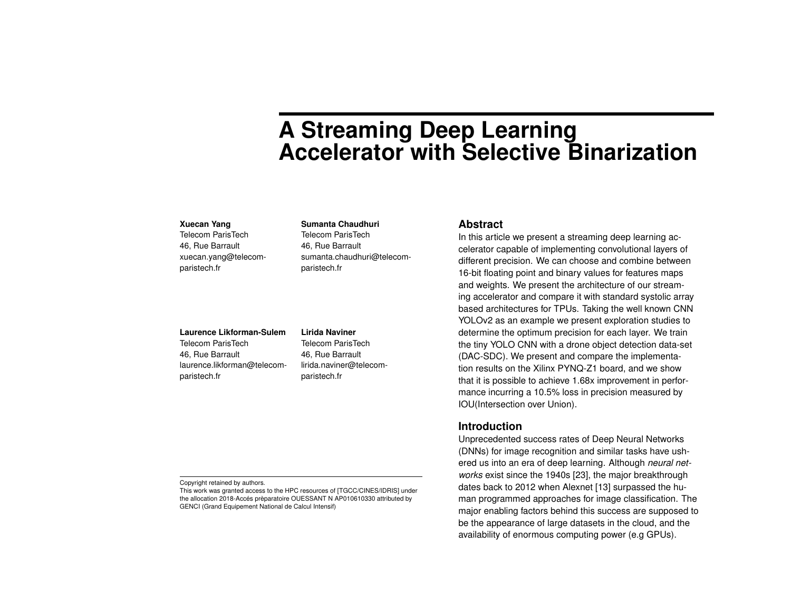# **A Streaming Deep Learning Accelerator with Selective Binarization**

#### **Xuecan Yang**

Telecom ParisTech 46, Rue Barrault xuecan.yang@telecomparistech.fr

#### **Sumanta Chaudhuri**

Telecom ParisTech 46, Rue Barrault sumanta.chaudhuri@telecomparistech.fr

## **Laurence Likforman-Sulem**

Telecom ParisTech 46, Rue Barrault laurence.likforman@telecomparistech.fr

#### **Lirida Naviner**

Telecom ParisTech 46, Rue Barrault lirida.naviner@telecomparistech.fr

#### Copyright retained by authors.

This work was granted access to the HPC resources of [TGCC/CINES/IDRIS] under the allocation 2018-Accés prèparatoire OUESSANT N AP010610330 attributed by GENCI (Grand Equipement National de Calcul Intensif)

### **Abstract**

In this article we present a streaming deep learning accelerator capable of implementing convolutional layers of different precision. We can choose and combine between 16-bit floating point and binary values for features maps and weights. We present the architecture of our streaming accelerator and compare it with standard systolic array based architectures for TPUs. Taking the well known CNN YOLOv2 as an example we present exploration studies to determine the optimum precision for each layer. We train the tiny YOLO CNN with a drone object detection data-set (DAC-SDC). We present and compare the implementation results on the Xilinx PYNQ-Z1 board, and we show that it is possible to achieve 1.68x improvement in performance incurring a 10.5% loss in precision measured by IOU(Intersection over Union).

# **Introduction**

Unprecedented success rates of Deep Neural Networks (DNNs) for image recognition and similar tasks have ushered us into an era of deep learning. Although *neural networks* exist since the 1940s [\[23](#page-8-0)], the major breakthrough dates back to 2012 when Alexnet [[13\]](#page-8-1) surpassed the human programmed approaches for image classification. The major enabling factors behind this success are supposed to be the appearance of large datasets in the cloud, and the availability of enormous computing power (e.g GPUs).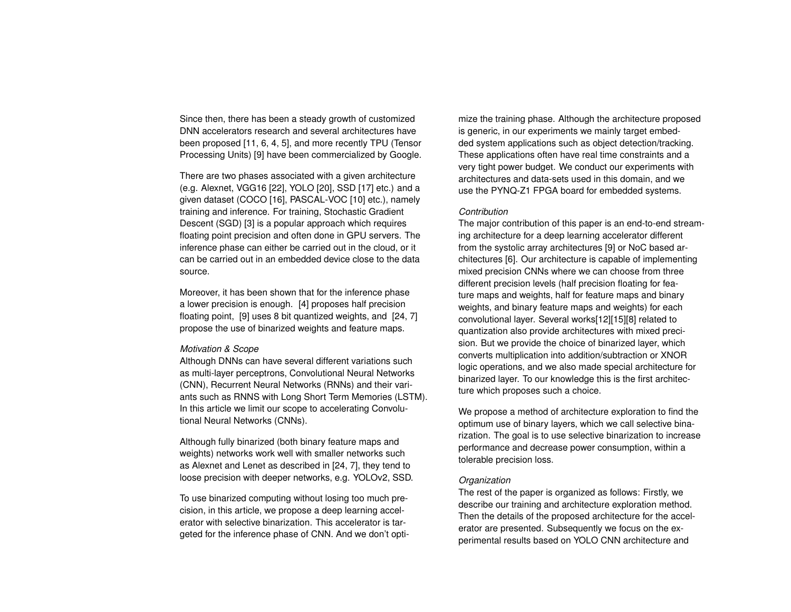Since then, there has been a steady growth of customized DNN accelerators research and several architectures have been proposed [\[11](#page-8-2), [6,](#page-8-3) [4,](#page-8-4) [5](#page-8-5)], and more recently TPU (Tensor Processing Units) [[9](#page-8-6)] have been commercialized by Google.

There are two phases associated with a given architecture (e.g. Alexnet, VGG16 [\[22](#page-8-7)], YOLO [[20\]](#page-8-8), SSD [\[17\]](#page-8-9) etc.) and a given dataset (COCO [\[16\]](#page-8-10), PASCAL-VOC [\[10](#page-8-11)] etc.), namely training and inference. For training, Stochastic Gradient Descent (SGD) [\[3](#page-8-12)] is a popular approach which requires floating point precision and often done in GPU servers. The inference phase can either be carried out in the cloud, or it can be carried out in an embedded device close to the data source.

Moreover, it has been shown that for the inference phase a lower precision is enough. [[4\]](#page-8-4) proposes half precision floating point, [\[9](#page-8-6)] uses 8 bit quantized weights, and [\[24](#page-8-13), [7\]](#page-8-14) propose the use of binarized weights and feature maps.

#### *Motivation & Scope*

Although DNNs can have several different variations such as multi-layer perceptrons, Convolutional Neural Networks (CNN), Recurrent Neural Networks (RNNs) and their variants such as RNNS with Long Short Term Memories (LSTM). In this article we limit our scope to accelerating Convolutional Neural Networks (CNNs).

Although fully binarized (both binary feature maps and weights) networks work well with smaller networks such as Alexnet and Lenet as described in [\[24](#page-8-13), [7\]](#page-8-14), they tend to loose precision with deeper networks, e.g. YOLOv2, SSD.

To use binarized computing without losing too much precision, in this article, we propose a deep learning accelerator with selective binarization. This accelerator is targeted for the inference phase of CNN. And we don't opti-

mize the training phase. Although the architecture proposed is generic, in our experiments we mainly target embedded system applications such as object detection/tracking. These applications often have real time constraints and a very tight power budget. We conduct our experiments with architectures and data-sets used in this domain, and we use the PYNQ-Z1 FPGA board for embedded systems.

#### *Contribution*

The major contribution of this paper is an end-to-end streaming architecture for a deep learning accelerator different from the systolic array architectures [\[9](#page-8-6)] or NoC based architectures [\[6\]](#page-8-3). Our architecture is capable of implementing mixed precision CNNs where we can choose from three different precision levels (half precision floating for feature maps and weights, half for feature maps and binary weights, and binary feature maps and weights) for each convolutional layer. Several works[[12](#page-8-15)][\[15](#page-8-16)][\[8](#page-8-17)] related to quantization also provide architectures with mixed precision. But we provide the choice of binarized layer, which converts multiplication into addition/subtraction or XNOR logic operations, and we also made special architecture for binarized layer. To our knowledge this is the first architecture which proposes such a choice.

We propose a method of architecture exploration to find the optimum use of binary layers, which we call selective binarization. The goal is to use selective binarization to increase performance and decrease power consumption, within a tolerable precision loss.

#### *Organization*

The rest of the paper is organized as follows: Firstly, we describe our training and architecture exploration method. Then the details of the proposed architecture for the accelerator are presented. Subsequently we focus on the experimental results based on YOLO CNN architecture and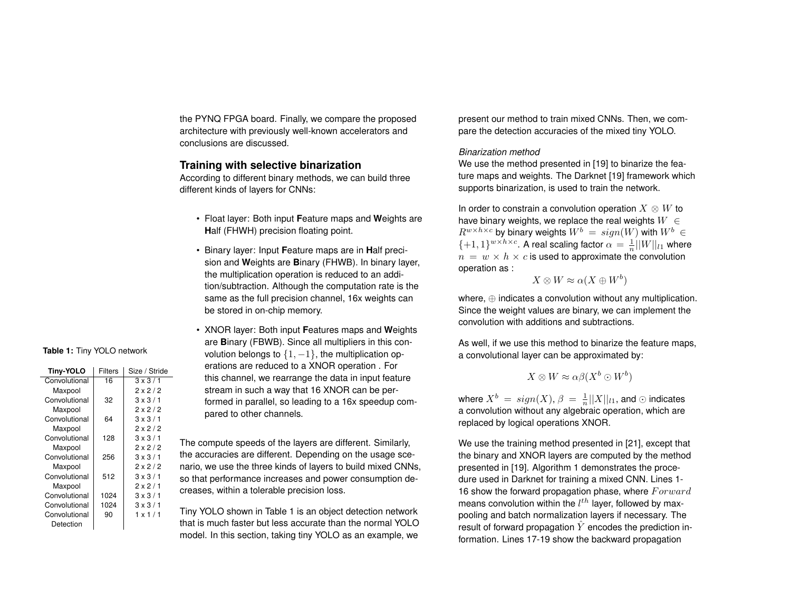the PYNQ FPGA board. Finally, we compare the proposed architecture with previously well-known accelerators and conclusions are discussed.

## **Training with selective binarization**

According to different binary methods, we can build three different kinds of layers for CNNs:

- Float layer: Both input **F**eature maps and **W**eights are **H**alf (FHWH) precision floating point.
- Binary layer: Input **F**eature maps are in **H**alf precision and **W**eights are **B**inary (FHWB). In binary layer, the multiplication operation is reduced to an addition/subtraction. Although the computation rate is the same as the full precision channel, 16x weights can be stored in on-chip memory.
- XNOR layer: Both input **F**eatures maps and **W**eights are **B**inary (FBWB). Since all multipliers in this convolution belongs to *{*1*, −*1*}*, the multiplication operations are reduced to a XNOR operation . For this channel, we rearrange the data in input feature stream in such a way that 16 XNOR can be performed in parallel, so leading to a 16x speedup compared to other channels.

The compute speeds of the layers are different. Similarly, the accuracies are different. Depending on the usage scenario, we use the three kinds of layers to build mixed CNNs, so that performance increases and power consumption decreases, within a tolerable precision loss.

Tiny YOLO shown in Table [1](#page-2-0) is an object detection network that is much faster but less accurate than the normal YOLO model. In this section, taking tiny YOLO as an example, we present our method to train mixed CNNs. Then, we compare the detection accuracies of the mixed tiny YOLO.

### *Binarization method*

We use the method presented in [\[19](#page-8-18)] to binarize the feature maps and weights. The Darknet [\[19\]](#page-8-18) framework which supports binarization, is used to train the network.

In order to constrain a convolution operation  $X \otimes W$  to have binary weights, we replace the real weights *W ∈*  $R^{w \times h \times c}$  by binary weights  $W^b = sign(W)$  with  $W^b \in$  $\{+1, 1\}^{w \times h \times c}$ . A real scaling factor  $\alpha = \frac{1}{n}||W||_{l_1}$  where  $n = w \times h \times c$  is used to approximate the convolution operation as :

$$
X \otimes W \approx \alpha(X \oplus W^b)
$$

where, *⊕* indicates a convolution without any multiplication. Since the weight values are binary, we can implement the convolution with additions and subtractions.

As well, if we use this method to binarize the feature maps, a convolutional layer can be approximated by:

$$
X \otimes W \approx \alpha \beta (X^b \odot W^b)
$$

where  $X^b \ = \ sign(X), \, \beta \ = \ \frac{1}{n}||X||_{l1},$  and  $\odot$  indicates a convolution without any algebraic operation, which are replaced by logical operations XNOR.

We use the training method presented in [[21\]](#page-8-19), except that the binary and XNOR layers are computed by the method presented in [[19\]](#page-8-18). Algorithm [1](#page-3-0) demonstrates the procedure used in Darknet for training a mixed CNN. Lines 1- 16 show the forward propagation phase, where *F orward* means convolution within the *l th* layer, followed by maxpooling and batch normalization layers if necessary. The result of forward propagation  $\hat{Y}$  encodes the prediction information. Lines 17-19 show the backward propagation

## <span id="page-2-0"></span>**Table 1:** Tiny YOLO network

| Tiny-YOLO     | <b>Filters</b> | Size / Stride  |
|---------------|----------------|----------------|
| Convolutional | 16             | $3 \times 3/1$ |
| Maxpool       |                | $2 \times 2/2$ |
| Convolutional | 32             | $3 \times 3/1$ |
| Maxpool       |                | $2 \times 2/2$ |
| Convolutional | 64             | $3 \times 3/1$ |
| Maxpool       |                | $2 \times 2/2$ |
| Convolutional | 128            | $3 \times 3/1$ |
| Maxpool       |                | $2 \times 2/2$ |
| Convolutional | 256            | $3 \times 3/1$ |
| Maxpool       |                | $2 \times 2/2$ |
| Convolutional | 512            | $3 \times 3/1$ |
| Maxpool       |                | $2 \times 2/1$ |
| Convolutional | 1024           | $3 \times 3/1$ |
| Convolutional | 1024           | $3 \times 3/1$ |
| Convolutional | 90             | $1 \times 1/1$ |
| Detection     |                |                |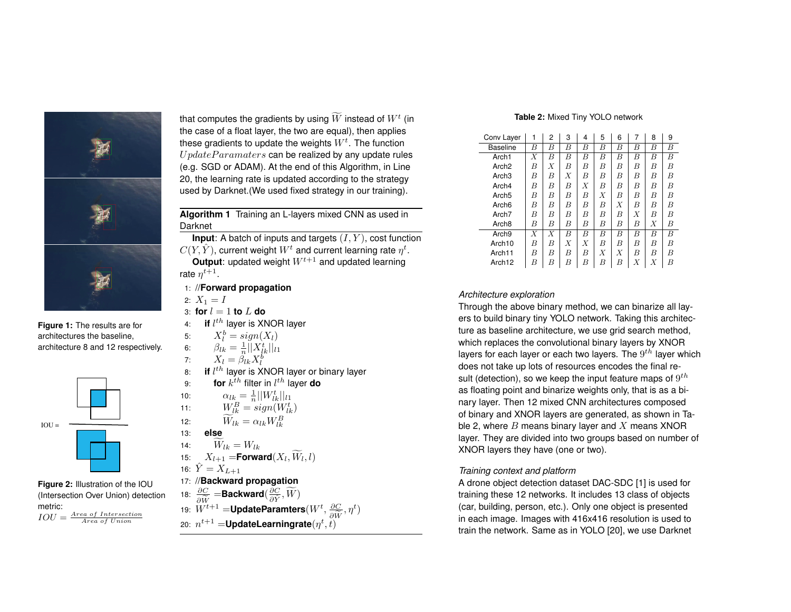

**Figure 1:** The results are for architectures the baseline, architecture 8 and 12 respectively.

<span id="page-3-3"></span>

<span id="page-3-2"></span>**Figure 2:** Illustration of the IOU (Intersection Over Union) detection metric: *IOU* = *Area of Intersection Area of Union*

that computes the gradients by using  $\bar{W}$  instead of  $W^t$  (in the case of a float layer, the two are equal), then applies these gradients to update the weights  $W^t.$  The function *U pdateP aramaters* can be realized by any update rules (e.g. SGD or ADAM). At the end of this Algorithm, in Line 20, the learning rate is updated according to the strategy used by Darknet.(We used fixed strategy in our training).

<span id="page-3-0"></span>**Algorithm 1** Training an L-layers mixed CNN as used in Darknet

**Input**: A batch of inputs and targets (*I, Y* ), cost function  $C(Y, \hat{Y})$ , current weight  $W^t$  and current learning rate  $\eta^t$ . **Output**: updated weight *Wt*+1 and updated learning

rate  $\eta^{t+1}$ .

- 1: //**Forward propagation**
- 2:  $X_1 = I$

10: *αlk* =

11: *W<sup>B</sup>*

13: **else**

- 3: **for**  $l = 1$  **to**  $L$  **do**
- 4: **if** *l th* layer is XNOR layer
- 5:  $X_l^b = sign(X_l)$
- 6:  $\beta_{lk} = \frac{1}{n} ||X^t_{lk}||_{l1}$

7: 
$$
X_l = \overset{\sim}{\beta_{lk}} X_l^b
$$

*l*  $\frac{X_l - \rho_{lk} X_l}{\rho_{lk}^2}$  and  $\frac{X_l - \rho_{lk} X_l}{\rho_{lk}^2}$ 9: **for** *k th* filter in *l th* layer **do**

$$
\alpha_{lk} = \frac{1}{n} ||W_{lk}^t||_{l_1}
$$

$$
W_{lk}^B = sign(W_{lk}^t)
$$

12:  $\widetilde{W}_{lk} = \alpha_{lk} W_{lk}^B$ 

$$
\widetilde{W}_{\Omega} = W_{\Omega}
$$

14: 
$$
W_{lk} = W_{lk}
$$
  
15:  $X_{l+1} = \text{Forward}(X_l, \widetilde{W}_l, l)$ 

16: 
$$
\hat{Y} = X_{L+1}
$$
  
17. //Backward propagation

18: *∂C*

18: 
$$
\frac{\partial C}{\partial \widetilde{W}} = \text{Backward}(\frac{\partial C}{\partial \widetilde{Y}}, \widetilde{W})
$$
  
19:  $W^{t+1} = \text{UpdateParameters}(W^t, \frac{\partial C}{\partial \widetilde{W}}, \eta^t)$   
20:  $n^{t+1} - \text{Underle learningrate}(n^t, t)$ 

20: 
$$
n^{t+1}
$$
 =UpdateLearningrate( $\eta^t, t$ )

#### **Table 2:** Mixed Tiny YOLO network

<span id="page-3-1"></span>

| Conv Layer         | 1 | 2              | 3 | 4                | 5 | 6 | 7 | 8              | 9 |
|--------------------|---|----------------|---|------------------|---|---|---|----------------|---|
| <b>Baseline</b>    | B | B              | В | B                | B | B | B | B              | B |
| Arch <sub>1</sub>  | X | $\overline{B}$ | B | B                | B | B | B | B              | B |
| Arch <sub>2</sub>  | B | X              | В | B                | B | B | B | B              | B |
| Arch <sub>3</sub>  | B | B              | X | B                | B | B | B | B              | B |
| Arch4              | B | B              | B | X                | B | В | B | B              | B |
| Arch <sub>5</sub>  | B | B              | B | B                | X | B | B | B              | B |
| Arch <sub>6</sub>  | B | B              | В | B                | B | Х | В | B              | B |
| Arch <sub>7</sub>  | B | B              | B | B                | B | B | X | B              | B |
| Arch <sub>8</sub>  | B | В              | B | B                | B | В | В | X              | B |
| Arch <sub>9</sub>  | X | X              | B | B                | B | B | B | B              | B |
| Arch <sub>10</sub> | B | B              | X | $\boldsymbol{X}$ | B | B | B | B              | B |
| Arch <sub>11</sub> | B | B              | B | B                | X | X | B | B              | B |
| Arch <sub>12</sub> | В | B              | В | B                | В | В | Χ | $\overline{X}$ | B |

## *Architecture exploration*

Through the above binary method, we can binarize all layers to build binary tiny YOLO network. Taking this architecture as baseline architecture, we use grid search method, which replaces the convolutional binary layers by XNOR layers for each layer or each two layers. The 9 *th* layer which does not take up lots of resources encodes the final result (detection), so we keep the input feature maps of  $9^{th}$ as floating point and binarize weights only, that is as a binary layer. Then 12 mixed CNN architectures composed of binary and XNOR layers are generated, as shown in Table [2,](#page-3-1) where *B* means binary layer and *X* means XNOR layer. They are divided into two groups based on number of XNOR layers they have (one or two).

#### *Training context and platform*

A drone object detection dataset DAC-SDC [\[1](#page-7-0)] is used for training these 12 networks. It includes 13 class of objects (car, building, person, etc.). Only one object is presented in each image. Images with 416x416 resolution is used to train the network. Same as in YOLO [[20\]](#page-8-8), we use Darknet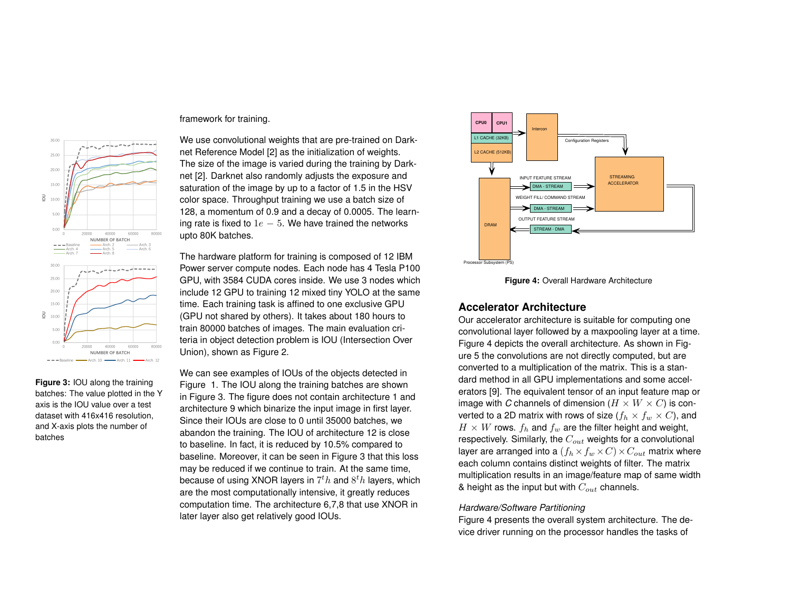

<span id="page-4-0"></span>**Figure 3:** IOU along the training batches: The value plotted in the Y axis is the IOU value over a test dataset with 416x416 resolution, and X-axis plots the number of batches

### framework for training.

We use convolutional weights that are pre-trained on Darknet Reference Model [[2\]](#page-7-1) as the initialization of weights. The size of the image is varied during the training by Darknet [[2\]](#page-7-1). Darknet also randomly adjusts the exposure and saturation of the image by up to a factor of 1.5 in the HSV color space. Throughput training we use a batch size of 128, a momentum of 0.9 and a decay of 0.0005. The learning rate is fixed to 1*e −* 5. We have trained the networks upto 80K batches.

The hardware platform for training is composed of 12 IBM Power server compute nodes. Each node has 4 Tesla P100 GPU, with 3584 CUDA cores inside. We use 3 nodes which include 12 GPU to training 12 mixed tiny YOLO at the same time. Each training task is affined to one exclusive GPU (GPU not shared by others). It takes about 180 hours to train 80000 batches of images. The main evaluation criteria in object detection problem is IOU (Intersection Over Union), shown as Figure [2.](#page-3-2)

We can see examples of IOUs of the objects detected in Figure [1](#page-3-3). The IOU along the training batches are shown in Figure [3](#page-4-0). The figure does not contain architecture 1 and architecture 9 which binarize the input image in first layer. Since their IOUs are close to 0 until 35000 batches, we abandon the training. The IOU of architecture 12 is close to baseline. In fact, it is reduced by 10.5% compared to baseline. Moreover, it can be seen in Figure [3](#page-4-0) that this loss may be reduced if we continue to train. At the same time, because of using XNOR layers in 7 *<sup>t</sup>h* and 8 *<sup>t</sup>h* layers, which are the most computationally intensive, it greatly reduces computation time. The architecture 6,7,8 that use XNOR in later layer also get relatively good IOUs.

<span id="page-4-1"></span>

**Figure 4:** Overall Hardware Architecture

# **Accelerator Architecture**

Our accelerator architecture is suitable for computing one convolutional layer followed by a maxpooling layer at a time. Figure [4](#page-4-1) depicts the overall architecture. As shown in Figure [5](#page-5-0) the convolutions are not directly computed, but are converted to a multiplication of the matrix. This is a standard method in all GPU implementations and some accelerators [[9\]](#page-8-6). The equivalent tensor of an input feature map or image with *C* channels of dimension  $(H \times W \times C)$  is converted to a 2D matrix with rows of size  $(f_h \times f_w \times C)$ , and  $H \times W$  rows.  $f_h$  and  $f_w$  are the filter height and weight, respectively. Similarly, the *Cout* weights for a convolutional layer are arranged into a  $(f_h \times f_w \times C) \times C_{out}$  matrix where each column contains distinct weights of filter. The matrix multiplication results in an image/feature map of same width & height as the input but with *Cout* channels.

### *Hardware/Software Partitioning*

Figure [4](#page-4-1) presents the overall system architecture. The device driver running on the processor handles the tasks of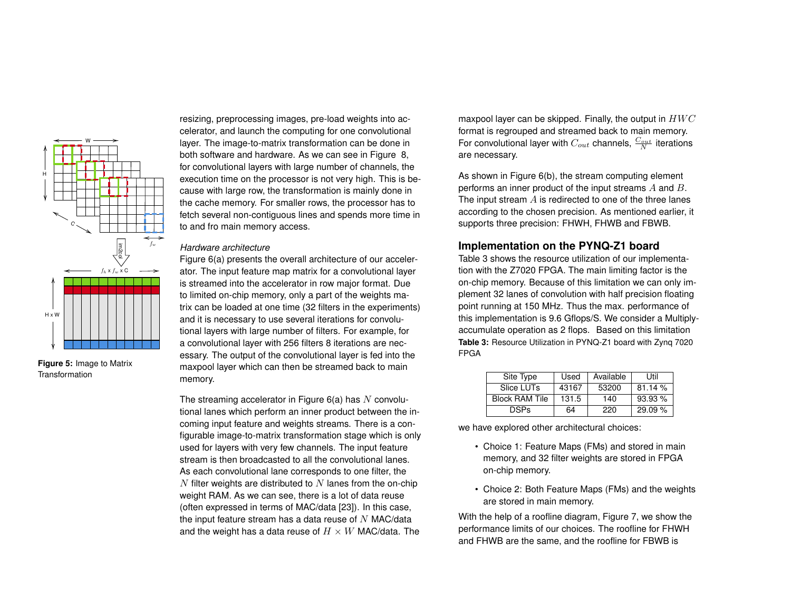

<span id="page-5-0"></span>**Figure 5:** Image to Matrix Transformation

resizing, preprocessing images, pre-load weights into accelerator, and launch the computing for one convolutional layer. The image-to-matrix transformation can be done in both software and hardware. As we can see in Figure [8,](#page-7-2) for convolutional layers with large number of channels, the execution time on the processor is not very high. This is because with large row, the transformation is mainly done in the cache memory. For smaller rows, the processor has to fetch several non-contiguous lines and spends more time in to and fro main memory access.

#### *Hardware architecture*

Figure [6\(a\)](#page-6-0) presents the overall architecture of our accelerator. The input feature map matrix for a convolutional layer is streamed into the accelerator in row major format. Due to limited on-chip memory, only a part of the weights matrix can be loaded at one time (32 filters in the experiments) and it is necessary to use several iterations for convolutional layers with large number of filters. For example, for a convolutional layer with 256 filters 8 iterations are necessary. The output of the convolutional layer is fed into the maxpool layer which can then be streamed back to main memory.

The streaming accelerator in Figure [6\(a\)](#page-6-0) has *N* convolutional lanes which perform an inner product between the incoming input feature and weights streams. There is a configurable image-to-matrix transformation stage which is only used for layers with very few channels. The input feature stream is then broadcasted to all the convolutional lanes. As each convolutional lane corresponds to one filter, the *N* filter weights are distributed to *N* lanes from the on-chip weight RAM. As we can see, there is a lot of data reuse (often expressed in terms of MAC/data [[23\]](#page-8-0)). In this case, the input feature stream has a data reuse of *N* MAC/data and the weight has a data reuse of *H × W* MAC/data. The

maxpool layer can be skipped. Finally, the output in *HW C* format is regrouped and streamed back to main memory. For convolutional layer with  $C_{out}$  channels,  $\frac{C_{out}}{N}$  iterations are necessary.

As shown in Figure [6\(b\),](#page-6-1) the stream computing element performs an inner product of the input streams *A* and *B*. The input stream *A* is redirected to one of the three lanes according to the chosen precision. As mentioned earlier, it supports three precision: FHWH, FHWB and FBWB.

# **Implementation on the PYNQ-Z1 board**

Table [3](#page-5-1) shows the resource utilization of our implementation with the Z7020 FPGA. The main limiting factor is the on-chip memory. Because of this limitation we can only implement 32 lanes of convolution with half precision floating point running at 150 MHz. Thus the max. performance of this implementation is 9.6 Gflops/S. We consider a Multiplyaccumulate operation as 2 flops. Based on this limitation **Table 3:** Resource Utilization in PYNQ-Z1 board with Zynq 7020 FPGA

<span id="page-5-1"></span>

| Site Type             | Used  | Available | Util   |  |
|-----------------------|-------|-----------|--------|--|
| Slice LUTs            | 43167 | 53200     | 81.14% |  |
| <b>Block RAM Tile</b> | 131.5 | 140       | 93.93% |  |
| <b>DSPs</b>           | 64    | 220       | 29.09% |  |

we have explored other architectural choices:

- Choice 1: Feature Maps (FMs) and stored in main memory, and 32 filter weights are stored in FPGA on-chip memory.
- Choice 2: Both Feature Maps (FMs) and the weights are stored in main memory.

With the help of a roofline diagram, Figure [7](#page-6-2), we show the performance limits of our choices. The roofline for FHWH and FHWB are the same, and the roofline for FBWB is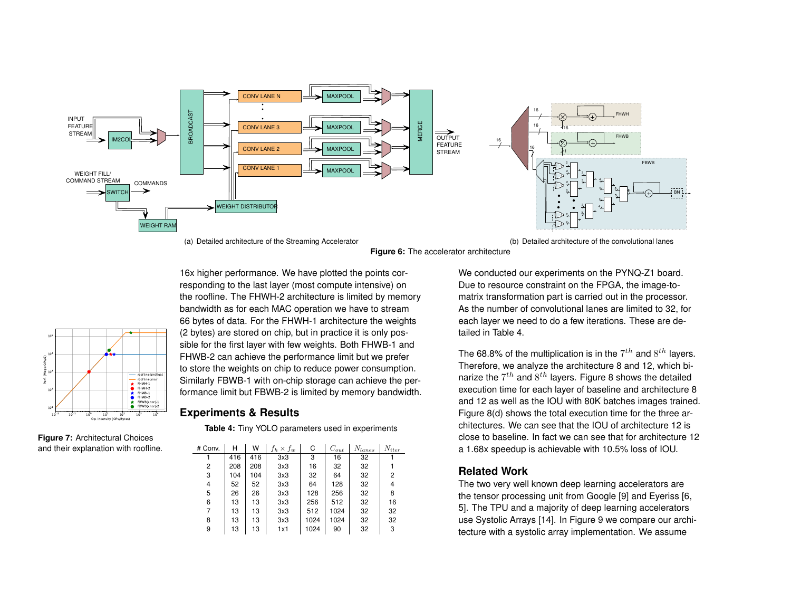

(a) Detailed architecture of the Streaming Accelerator





16x higher performance. We have plotted the points cor-

## <span id="page-6-3"></span>**Experiments & Results**

**Table 4:** Tiny YOLO parameters used in experiments

| # Conv. | Н   | W   | $f_h \times f_w$ | С    | $C_{out}$ | $N_{lanes}$ | $N_{iter}$ |
|---------|-----|-----|------------------|------|-----------|-------------|------------|
|         | 416 | 416 | 3x3              | 3    | 16        | 32          |            |
| 2       | 208 | 208 | 3x3              | 16   | 32        | 32          |            |
| 3       | 104 | 104 | 3x3              | 32   | 64        | 32          | 2          |
| 4       | 52  | 52  | 3x3              | 64   | 128       | 32          | 4          |
| 5       | 26  | 26  | 3x3              | 128  | 256       | 32          | 8          |
| 6       | 13  | 13  | 3x3              | 256  | 512       | 32          | 16         |
| 7       | 13  | 13  | 3x3              | 512  | 1024      | 32          | 32         |
| 8       | 13  | 13  | 3x3              | 1024 | 1024      | 32          | 32         |
| 9       | 13  | 13  | 1x1              | 1024 | 90        | 32          | 3          |

<span id="page-6-1"></span>We conducted our experiments on the PYNQ-Z1 board. Due to resource constraint on the FPGA, the image-tomatrix transformation part is carried out in the processor. As the number of convolutional lanes are limited to 32, for each layer we need to do a few iterations. These are detailed in Table [4](#page-6-3).

BN L.

The 68.8% of the multiplication is in the 7 *th* and 8 *th* layers. Therefore, we analyze the architecture 8 and 12, which binarize the  $7^{th}$  and  $8^{th}$  $8^{th}$  layers. Figure 8 shows the detailed execution time for each layer of baseline and architecture 8 and 12 as well as the IOU with 80K batches images trained. Figure [8\(d\)](#page-7-3) shows the total execution time for the three architectures. We can see that the IOU of architecture 12 is close to baseline. In fact we can see that for architecture 12 a 1.68x speedup is achievable with 10.5% loss of IOU.

# **Related Work**

The two very well known deep learning accelerators are the tensor processing unit from Google [\[9](#page-8-6)] and Eyeriss [\[6](#page-8-3), [5](#page-8-5)]. The TPU and a majority of deep learning accelerators use Systolic Arrays [[14\]](#page-8-20). In Figure [9](#page-7-4) we compare our architecture with a systolic array implementation. We assume

<span id="page-6-0"></span>

<span id="page-6-2"></span>**Figure 7:** Architectural Choices and their explanation with roofline.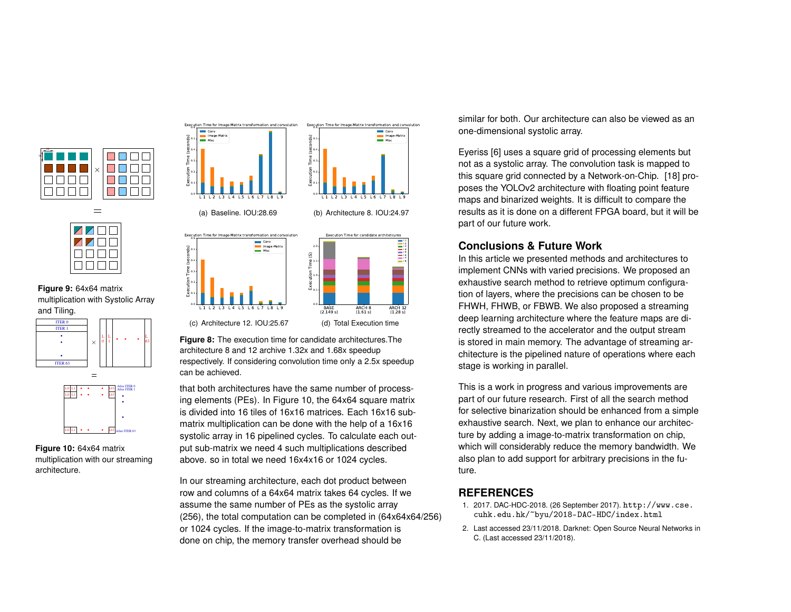

 $=$ 



<span id="page-7-4"></span>**Figure 9:** 64x64 matrix multiplication with Systolic Array and Tiling.



**Figure 10:** 64x64 matrix multiplication with our streaming architecture.

<span id="page-7-5"></span>L0 L1 L63 ..

After ITER 63

<span id="page-7-2"></span>

<span id="page-7-3"></span>**Figure 8:** The execution time for candidate architectures.The architecture 8 and 12 archive 1.32x and 1.68x speedup respectively. If considering convolution time only a 2.5x speedup can be achieved.

that both architectures have the same number of processing elements (PEs). In Figure [10](#page-7-5), the 64x64 square matrix is divided into 16 tiles of 16x16 matrices. Each 16x16 submatrix multiplication can be done with the help of a 16x16 systolic array in 16 pipelined cycles. To calculate each output sub-matrix we need 4 such multiplications described above. so in total we need 16x4x16 or 1024 cycles.

In our streaming architecture, each dot product between row and columns of a 64x64 matrix takes 64 cycles. If we assume the same number of PEs as the systolic array (256), the total computation can be completed in (64x64x64/256) or 1024 cycles. If the image-to-matrix transformation is done on chip, the memory transfer overhead should be

similar for both. Our architecture can also be viewed as an one-dimensional systolic array.

Eyeriss [\[6](#page-8-3)] uses a square grid of processing elements but not as a systolic array. The convolution task is mapped to this square grid connected by a Network-on-Chip. [\[18](#page-8-21)] proposes the YOLOv2 architecture with floating point feature maps and binarized weights. It is difficult to compare the results as it is done on a different FPGA board, but it will be part of our future work.

## **Conclusions & Future Work**

In this article we presented methods and architectures to implement CNNs with varied precisions. We proposed an exhaustive search method to retrieve optimum configuration of layers, where the precisions can be chosen to be FHWH, FHWB, or FBWB. We also proposed a streaming deep learning architecture where the feature maps are directly streamed to the accelerator and the output stream is stored in main memory. The advantage of streaming architecture is the pipelined nature of operations where each stage is working in parallel.

This is a work in progress and various improvements are part of our future research. First of all the search method for selective binarization should be enhanced from a simple exhaustive search. Next, we plan to enhance our architecture by adding a image-to-matrix transformation on chip, which will considerably reduce the memory bandwidth. We also plan to add support for arbitrary precisions in the future.

# **REFERENCES**

- <span id="page-7-0"></span>1. 2017. DAC-HDC-2018. (26 September 2017). [http://www.cse.](http://www.cse.cuhk.edu.hk/~byu/2018-DAC-HDC/index.html) [cuhk.edu.hk/~byu/2018-DAC-HDC/index.html](http://www.cse.cuhk.edu.hk/~byu/2018-DAC-HDC/index.html)
- <span id="page-7-1"></span>2. Last accessed 23/11/2018. Darknet: Open Source Neural Networks in C. (Last accessed 23/11/2018).